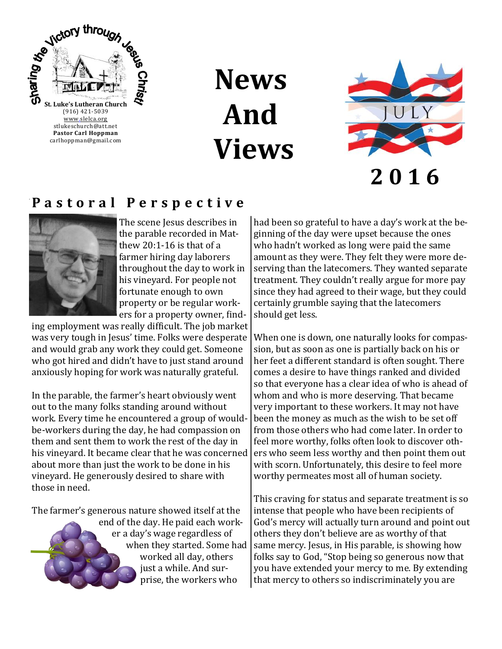

**News And Views**



**2 0 1 6**

### **P a s t o r a l P e r s p e c t i v e**



The scene Jesus describes in the parable recorded in Matthew 20:1-16 is that of a farmer hiring day laborers throughout the day to work in his vineyard. For people not fortunate enough to own property or be regular workers for a property owner, find-

ing employment was really difficult. The job market was very tough in Jesus' time. Folks were desperate and would grab any work they could get. Someone who got hired and didn't have to just stand around anxiously hoping for work was naturally grateful.

In the parable, the farmer's heart obviously went out to the many folks standing around without work. Every time he encountered a group of wouldbe-workers during the day, he had compassion on them and sent them to work the rest of the day in his vineyard. It became clear that he was concerned about more than just the work to be done in his vineyard. He generously desired to share with those in need.

The farmer's generous nature showed itself at the

end of the day. He paid each worker a day's wage regardless of when they started. Some had worked all day, others just a while. And surprise, the workers who

had been so grateful to have a day's work at the beginning of the day were upset because the ones who hadn't worked as long were paid the same amount as they were. They felt they were more deserving than the latecomers. They wanted separate treatment. They couldn't really argue for more pay since they had agreed to their wage, but they could certainly grumble saying that the latecomers should get less.

When one is down, one naturally looks for compassion, but as soon as one is partially back on his or her feet a different standard is often sought. There comes a desire to have things ranked and divided so that everyone has a clear idea of who is ahead of whom and who is more deserving. That became very important to these workers. It may not have been the money as much as the wish to be set off from those others who had come later. In order to feel more worthy, folks often look to discover others who seem less worthy and then point them out with scorn. Unfortunately, this desire to feel more worthy permeates most all of human society.

This craving for status and separate treatment is so intense that people who have been recipients of God's mercy will actually turn around and point out others they don't believe are as worthy of that same mercy. Jesus, in His parable, is showing how folks say to God, "Stop being so generous now that you have extended your mercy to me. By extending that mercy to others so indiscriminately you are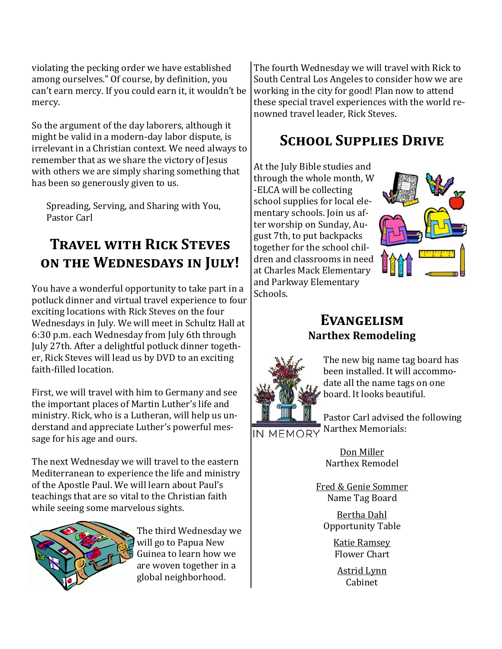violating the pecking order we have established among ourselves." Of course, by definition, you can't earn mercy. If you could earn it, it wouldn't be mercy.

So the argument of the day laborers, although it might be valid in a modern-day labor dispute, is irrelevant in a Christian context. We need always to remember that as we share the victory of Jesus with others we are simply sharing something that has been so generously given to us.

Spreading, Serving, and Sharing with You, Pastor Carl

## **Travel with Rick Steves on the Wednesdays in July!**

You have a wonderful opportunity to take part in a potluck dinner and virtual travel experience to four exciting locations with Rick Steves on the four Wednesdays in July. We will meet in Schultz Hall at 6:30 p.m. each Wednesday from July 6th through July 27th. After a delightful potluck dinner together, Rick Steves will lead us by DVD to an exciting faith-filled location.

First, we will travel with him to Germany and see the important places of Martin Luther's life and ministry. Rick, who is a Lutheran, will help us understand and appreciate Luther's powerful message for his age and ours.

The next Wednesday we will travel to the eastern Mediterranean to experience the life and ministry of the Apostle Paul. We will learn about Paul's teachings that are so vital to the Christian faith while seeing some marvelous sights.



The third Wednesday we will go to Papua New Guinea to learn how we are woven together in a global neighborhood.

The fourth Wednesday we will travel with Rick to South Central Los Angeles to consider how we are working in the city for good! Plan now to attend these special travel experiences with the world renowned travel leader, Rick Steves.

## **School Supplies Drive**

At the July Bible studies and through the whole month, W -ELCA will be collecting school supplies for local elementary schools. Join us after worship on Sunday, August 7th, to put backpacks together for the school children and classrooms in need at Charles Mack Elementary and Parkway Elementary Schools.



### **Evangelism Narthex Remodeling**



The new big name tag board has been installed. It will accommodate all the name tags on one board. It looks beautiful.

Pastor Carl advised the following IN MEMORY Narthex Memorials:

> Don Miller Narthex Remodel

Fred & Genie Sommer Name Tag Board

Bertha Dahl Opportunity Table

> Katie Ramsey Flower Chart

Astrid Lynn Cabinet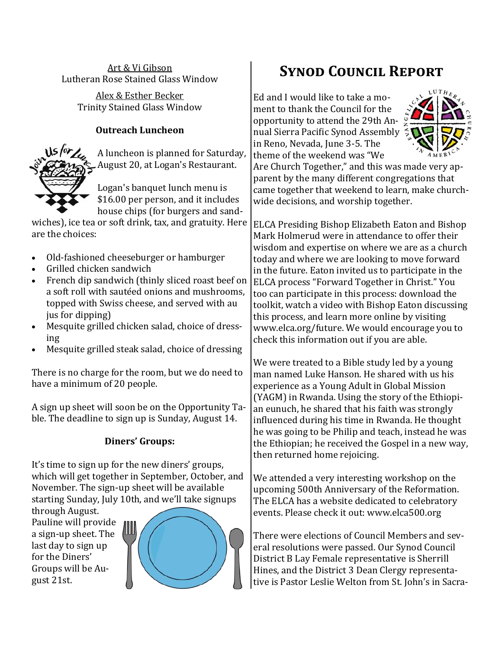Art & Vi Gibson Lutheran Rose Stained Glass Window

> Alex & Esther Becker Trinity Stained Glass Window

#### **Outreach Luncheon**



A luncheon is planned for Saturday, August 20, at Logan's Restaurant.

Logan's banquet lunch menu is \$16.00 per person, and it includes house chips (for burgers and sand-

wiches), ice tea or soft drink, tax, and gratuity. Here are the choices:

- Old-fashioned cheeseburger or hamburger
- Grilled chicken sandwich
- French dip sandwich (thinly sliced roast beef on a soft roll with sautéed onions and mushrooms, topped with Swiss cheese, and served with au jus for dipping)
- Mesquite grilled chicken salad, choice of dressing
- Mesquite grilled steak salad, choice of dressing

There is no charge for the room, but we do need to have a minimum of 20 people.

A sign up sheet will soon be on the Opportunity Table. The deadline to sign up is Sunday, August 14.

#### **Diners' Groups:**

It's time to sign up for the new diners' groups, which will get together in September, October, and November. The sign-up sheet will be available starting Sunday, July 10th, and we'll take signups

through August. Pauline will provide a sign-up sheet. The last day to sign up for the Diners' Groups will be August 21st.



# **Synod Council Report**

Ed and I would like to take a moment to thank the Council for the opportunity to attend the 29th Annual Sierra Pacific Synod Assembly in Reno, Nevada, June 3-5. The theme of the weekend was "We



Are Church Together," and this was made very apparent by the many different congregations that came together that weekend to learn, make churchwide decisions, and worship together.

ELCA Presiding Bishop Elizabeth Eaton and Bishop Mark Holmerud were in attendance to offer their wisdom and expertise on where we are as a church today and where we are looking to move forward in the future. Eaton invited us to participate in the ELCA process "Forward Together in Christ." You too can participate in this process: download the toolkit, watch a video with Bishop Eaton discussing this process, and learn more online by visiting www.elca.org/future. We would encourage you to check this information out if you are able.

We were treated to a Bible study led by a young man named Luke Hanson. He shared with us his experience as a Young Adult in Global Mission (YAGM) in Rwanda. Using the story of the Ethiopian eunuch, he shared that his faith was strongly influenced during his time in Rwanda. He thought he was going to be Philip and teach, instead he was the Ethiopian; he received the Gospel in a new way, then returned home rejoicing.

We attended a very interesting workshop on the upcoming 500th Anniversary of the Reformation. The ELCA has a website dedicated to celebratory events. Please check it out: www.elca500.org

There were elections of Council Members and several resolutions were passed. Our Synod Council District B Lay Female representative is Sherrill Hines, and the District 3 Dean Clergy representative is Pastor Leslie Welton from St. John's in Sacra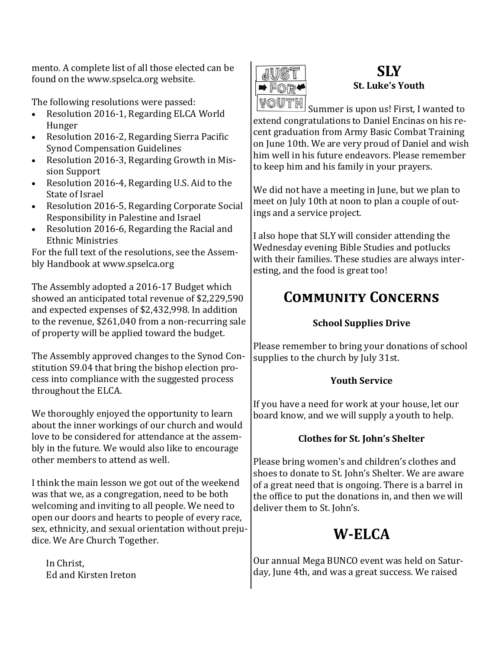mento. A complete list of all those elected can be found on the www.spselca.org website.

The following resolutions were passed:

- Resolution 2016-1, Regarding ELCA World Hunger
- Resolution 2016-2, Regarding Sierra Pacific Synod Compensation Guidelines
- Resolution 2016-3, Regarding Growth in Mission Support
- Resolution 2016-4, Regarding U.S. Aid to the State of Israel
- Resolution 2016-5, Regarding Corporate Social Responsibility in Palestine and Israel
- Resolution 2016-6, Regarding the Racial and Ethnic Ministries

For the full text of the resolutions, see the Assembly Handbook at www.spselca.org

The Assembly adopted a 2016-17 Budget which showed an anticipated total revenue of \$2,229,590 and expected expenses of \$2,432,998. In addition to the revenue, \$261,040 from a non-recurring sale of property will be applied toward the budget.

The Assembly approved changes to the Synod Constitution S9.04 that bring the bishop election process into compliance with the suggested process throughout the ELCA.

We thoroughly enjoyed the opportunity to learn about the inner workings of our church and would love to be considered for attendance at the assembly in the future. We would also like to encourage other members to attend as well.

I think the main lesson we got out of the weekend was that we, as a congregation, need to be both welcoming and inviting to all people. We need to open our doors and hearts to people of every race, sex, ethnicity, and sexual orientation without prejudice. We Are Church Together.

In Christ, Ed and Kirsten Ireton



### **SLY St. Luke's Youth**

Summer is upon us! First, I wanted to extend congratulations to Daniel Encinas on his recent graduation from Army Basic Combat Training on June 10th. We are very proud of Daniel and wish him well in his future endeavors. Please remember to keep him and his family in your prayers.

We did not have a meeting in June, but we plan to meet on July 10th at noon to plan a couple of outings and a service project.

I also hope that SLY will consider attending the Wednesday evening Bible Studies and potlucks with their families. These studies are always interesting, and the food is great too!

# **Community Concerns**

#### **School Supplies Drive**

Please remember to bring your donations of school supplies to the church by July 31st.

#### **Youth Service**

If you have a need for work at your house, let our board know, and we will supply a youth to help.

#### **Clothes for St. John's Shelter**

Please bring women's and children's clothes and shoes to donate to St. John's Shelter. We are aware of a great need that is ongoing. There is a barrel in the office to put the donations in, and then we will deliver them to St. John's.

# **W-ELCA**

Our annual Mega BUNCO event was held on Saturday, June 4th, and was a great success. We raised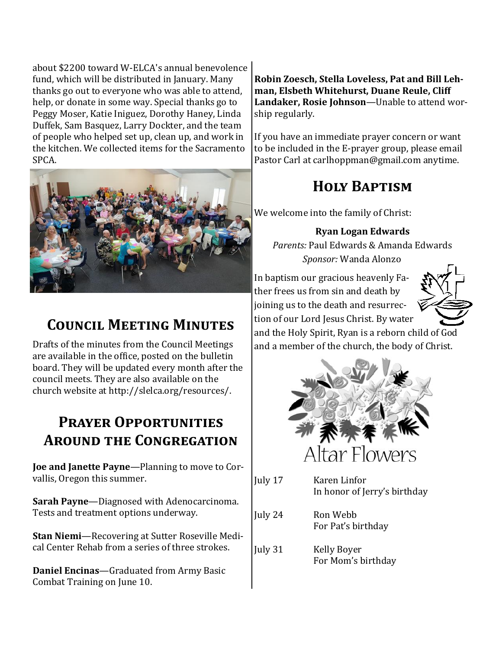about \$2200 toward W-ELCA's annual benevolence fund, which will be distributed in January. Many thanks go out to everyone who was able to attend, help, or donate in some way. Special thanks go to Peggy Moser, Katie Iniguez, Dorothy Haney, Linda Duffek, Sam Basquez, Larry Dockter, and the team of people who helped set up, clean up, and work in the kitchen. We collected items for the Sacramento SPCA.



## **Council Meeting Minutes**

Drafts of the minutes from the Council Meetings are available in the office, posted on the bulletin board. They will be updated every month after the council meets. They are also available on the church website at http://slelca.org/resources/.

### **Prayer Opportunities Around the Congregation**

**Joe and Janette Payne**—Planning to move to Corvallis, Oregon this summer.

**Sarah Payne**—Diagnosed with Adenocarcinoma. Tests and treatment options underway.

**Stan Niemi**—Recovering at Sutter Roseville Medical Center Rehab from a series of three strokes.

**Daniel Encinas**—Graduated from Army Basic Combat Training on June 10.

**Robin Zoesch, Stella Loveless, Pat and Bill Lehman, Elsbeth Whitehurst, Duane Reule, Cliff Landaker, Rosie Johnson**—Unable to attend worship regularly.

If you have an immediate prayer concern or want to be included in the E-prayer group, please email Pastor Carl at carlhoppman@gmail.com anytime.

# **Holy Baptism**

We welcome into the family of Christ:

**Ryan Logan Edwards**

*Parents:* Paul Edwards & Amanda Edwards *Sponsor:* Wanda Alonzo

In baptism our gracious heavenly Father frees us from sin and death by joining us to the death and resurrection of our Lord Jesus Christ. By water



and the Holy Spirit, Ryan is a reborn child of God and a member of the church, the body of Christ.



- July 17 Karen Linfor In honor of Jerry's birthday
- July 24 Ron Webb For Pat's birthday
- July 31 Kelly Boyer For Mom's birthday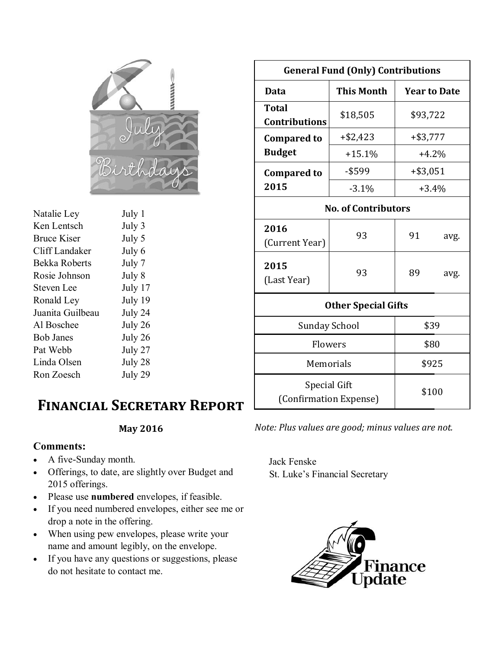

| Natalie Ley        | July 1  |
|--------------------|---------|
| Ken Lentsch        | July 3  |
| <b>Bruce Kiser</b> | July 5  |
| Cliff Landaker     | July 6  |
| Bekka Roberts      | July 7  |
| Rosie Johnson      | July 8  |
| <b>Steven Lee</b>  | July 17 |
| Ronald Ley         | July 19 |
| Juanita Guilbeau   | July 24 |
| Al Boschee         | July 26 |
| <b>Bob Janes</b>   | July 26 |
| Pat Webb           | July 27 |
| Linda Olsen        | July 28 |
| Ron Zoesch         | July 29 |
|                    |         |

### **Financial Secretary Report**

#### **May 2016**

#### **Comments:**

- A five-Sunday month.
- Offerings, to date, are slightly over Budget and 2015 offerings.
- Please use **numbered** envelopes, if feasible.
- If you need numbered envelopes, either see me or drop a note in the offering.
- When using pew envelopes, please write your name and amount legibly, on the envelope.
- If you have any questions or suggestions, please do not hesitate to contact me.

| <b>General Fund (Only) Contributions</b>      |                   |                     |      |  |  |
|-----------------------------------------------|-------------------|---------------------|------|--|--|
| Data                                          | <b>This Month</b> | <b>Year to Date</b> |      |  |  |
| <b>Total</b><br><b>Contributions</b>          | \$18,505          | \$93,722            |      |  |  |
| <b>Compared to</b>                            | $+ $2,423$        | $+$ \$3,777         |      |  |  |
| <b>Budget</b>                                 | $+15.1%$          | $+4.2%$             |      |  |  |
| <b>Compared to</b>                            | $-$ \$599         | $+ $3,051$          |      |  |  |
| 2015                                          | $-3.1%$           | $+3.4%$             |      |  |  |
| <b>No. of Contributors</b>                    |                   |                     |      |  |  |
| 2016<br>(Current Year)                        | 93                | 91                  | avg. |  |  |
| 2015<br>(Last Year)                           | 93                | 89                  | avg. |  |  |
| <b>Other Special Gifts</b>                    |                   |                     |      |  |  |
| <b>Sunday School</b>                          |                   | \$39                |      |  |  |
| Flowers                                       |                   | \$80                |      |  |  |
| Memorials                                     |                   | \$925               |      |  |  |
| <b>Special Gift</b><br>(Confirmation Expense) |                   | \$100               |      |  |  |

*Note: Plus values are good; minus values are not.* 

Jack Fenske St. Luke's Financial Secretary

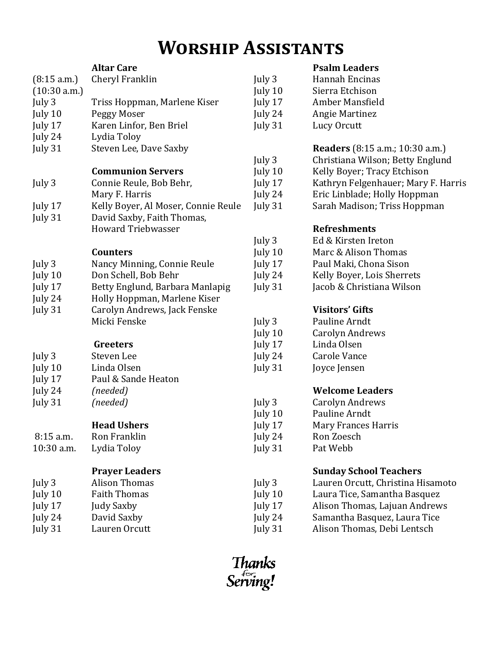# **Worship Assistants**

|              | <b>Altar Care</b>                   |         | <b>Psalm Leaders</b>                   |
|--------------|-------------------------------------|---------|----------------------------------------|
| (8:15 a.m.)  | Cheryl Franklin                     | July 3  | Hannah Encinas                         |
| (10:30 a.m.) |                                     | July 10 | Sierra Etchison                        |
| July 3       | Triss Hoppman, Marlene Kiser        | July 17 | Amber Mansfield                        |
| July 10      | Peggy Moser                         | July 24 | <b>Angie Martinez</b>                  |
| July 17      | Karen Linfor, Ben Briel             | July 31 | Lucy Orcutt                            |
| July 24      | Lydia Toloy                         |         |                                        |
| July 31      | Steven Lee, Dave Saxby              |         | <b>Readers</b> (8:15 a.m.; 10:30 a.m.) |
|              |                                     | July 3  | Christiana Wilson; Betty Englund       |
|              | <b>Communion Servers</b>            | July 10 | Kelly Boyer; Tracy Etchison            |
| July 3       | Connie Reule, Bob Behr,             | July 17 | Kathryn Felgenhauer; Mary F. Harris    |
|              | Mary F. Harris                      | July 24 | Eric Linblade; Holly Hoppman           |
| July 17      | Kelly Boyer, Al Moser, Connie Reule | July 31 | Sarah Madison; Triss Hoppman           |
| July 31      | David Saxby, Faith Thomas,          |         |                                        |
|              | <b>Howard Triebwasser</b>           |         | <b>Refreshments</b>                    |
|              |                                     | July 3  | Ed & Kirsten Ireton                    |
|              | <b>Counters</b>                     | July 10 | Marc & Alison Thomas                   |
| July 3       | Nancy Minning, Connie Reule         | July 17 | Paul Maki, Chona Sison                 |
| July 10      | Don Schell, Bob Behr                | July 24 | Kelly Boyer, Lois Sherrets             |
| July 17      | Betty Englund, Barbara Manlapig     | July 31 | Jacob & Christiana Wilson              |
| July 24      | Holly Hoppman, Marlene Kiser        |         |                                        |
| July 31      | Carolyn Andrews, Jack Fenske        |         | <b>Visitors' Gifts</b>                 |
|              | Micki Fenske                        | July 3  | Pauline Arndt                          |
|              |                                     | July 10 | <b>Carolyn Andrews</b>                 |
|              | Greeters                            | July 17 | Linda Olsen                            |
| July 3       | Steven Lee                          | July 24 | <b>Carole Vance</b>                    |
| July 10      | Linda Olsen                         | July 31 | Joyce Jensen                           |
| July 17      | Paul & Sande Heaton                 |         |                                        |
| July 24      | (needed)                            |         | <b>Welcome Leaders</b>                 |
| July 31      | (needed)                            | July 3  | <b>Carolyn Andrews</b>                 |
|              |                                     | July 10 | Pauline Arndt                          |
|              | <b>Head Ushers</b>                  | July 17 | Mary Frances Harris                    |
| $8:15$ a.m.  | Ron Franklin                        | July 24 | Ron Zoesch                             |
| 10:30 a.m.   | Lydia Toloy                         | July 31 | Pat Webb                               |
|              | <b>Prayer Leaders</b>               |         | <b>Sunday School Teachers</b>          |
| July 3       | <b>Alison Thomas</b>                | July 3  | Lauren Orcutt, Christina Hisamoto      |
| July 10      | <b>Faith Thomas</b>                 | July 10 | Laura Tice, Samantha Basquez           |
| July 17      | <b>Judy Saxby</b>                   | July 17 | Alison Thomas, Lajuan Andrews          |
| July 24      | David Saxby                         | July 24 | Samantha Basquez, Laura Tice           |
| July 31      | Lauren Orcutt                       | July 31 | Alison Thomas, Debi Lentsch            |
|              |                                     |         |                                        |

Thanks<br>Serving!